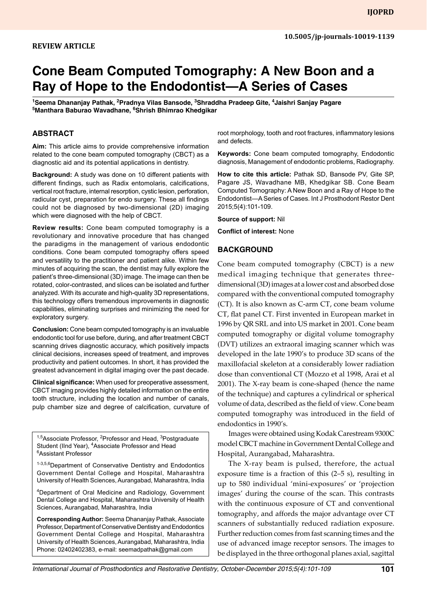#### **Review Article**

# **Cone Beam Computed Tomography: A New Boon and a Ray of Hope to the Endodontist—A Series of Cases**

<sup>1</sup>Seema Dhananjay Pathak, <sup>2</sup>Pradnya Vilas Bansode, <sup>3</sup>Shraddha Pradeep Gite, <sup>4</sup>Jaishri Sanjay Pagare **5 Manthara Baburao Wavadhane, 6 Shrish Bhimrao Khedgikar**

#### **Abstract**

**Aim:** This article aims to provide comprehensive information related to the cone beam computed tomography (CBCT) as a diagnostic aid and its potential applications in dentistry.

**Background:** A study was done on 10 different patients with different findings, such as Radix entomolaris, calcifications, vertical root fracture, internal resorption, cystic lesion, perforation, radicular cyst, preparation for endo surgery. These all findings could not be diagnosed by two-dimensional (2D) imaging which were diagnosed with the help of CBCT.

**Review results:** Cone beam computed tomography is a revolutionary and innovative procedure that has changed the paradigms in the management of various endodontic conditions. Cone beam computed tomography offers speed and versatility to the practitioner and patient alike. Within few minutes of acquiring the scan, the dentist may fully explore the patient's three-dimensional (3D) image. The image can then be rotated, color-contrasted, and slices can be isolated and further analyzed. With its accurate and high-quality 3D representations, this technology offers tremendous improvements in diagnostic capabilities, eliminating surprises and minimizing the need for exploratory surgery.

**Conclusion:** Cone beam computed tomography is an invaluable endodontic tool for use before, during, and after treatment CBCT scanning drives diagnostic accuracy, which positively impacts clinical decisions, increases speed of treatment, and improves productivity and patient outcomes. In short, it has provided the greatest advancement in digital imaging over the past decade.

**Clinical significance:** When used for preoperative assessment, CBCT imaging provides highly detailed information on the entire tooth structure, including the location and number of canals, pulp chamber size and degree of calcification, curvature of

<sup>1,5</sup>Associate Professor, <sup>2</sup>Professor and Head, <sup>3</sup>Postgraduate Student (IInd Year), <sup>4</sup>Associate Professor and Head 6 Assistant Professor

1-3,5,6 Department of Conservative Dentistry and Endodontics Government Dental College and Hospital, Maharashtra University of Health Sciences, Aurangabad, Maharashtra, India

4 Department of Oral Medicine and Radiology, Government Dental College and Hospital, Maharashtra University of Health Sciences, Aurangabad, Maharashtra, India

**Corresponding Author:** Seema Dhananjay Pathak, Associate Professor, Department of Conservative Dentistry and Endodontics Government Dental College and Hospital, Maharashtra University of Health Sciences, Aurangabad, Maharashtra, India Phone: 02402402383, e-mail: seemadpathak@gmail.com

root morphology, tooth and root fractures, inflammatory lesions and defects.

**Keywords:** Cone beam computed tomography, Endodontic diagnosis, Management of endodontic problems, Radiography.

**How to cite this article:** Pathak SD, Bansode PV, Gite SP, Pagare JS, Wavadhane MB, Khedgikar SB. Cone Beam Computed Tomography: A New Boon and a Ray of Hope to the Endodontist—A Series of Cases. Int J Prosthodont Restor Dent 2015;5(4):101-109.

**Source of support:** Nil

**Conflict of interest:** None

#### **BACKGROUND**

Cone beam computed tomography (CBCT) is a new medical imaging technique that generates threedimensional (3D) images at a lower cost and absorbed dose compared with the conventional computed tomography (CT). It is also known as C-arm CT, cone beam volume CT, flat panel CT. First invented in European market in 1996 by QR SRL and into US market in 2001. Cone beam computed tomography or digital volume tomography (DVT) utilizes an extraoral imaging scanner which was developed in the late 1990's to produce 3D scans of the maxillofacial skeleton at a considerably lower radiation dose than conventional CT (Mozzo et al 1998, Arai et al 2001). The X-ray beam is cone-shaped (hence the name of the technique) and captures a cylindrical or spherical volume of data, described as the field of view. Cone beam computed tomography was introduced in the field of endodontics in 1990's.

Images were obtained using Kodak Carestream 9300C model CBCT machine in Government Dental College and Hospital, Aurangabad, Maharashtra.

The X-ray beam is pulsed, therefore, the actual exposure time is a fraction of this (2–5 s), resulting in up to 580 individual 'mini-exposures' or 'projection images' during the course of the scan. This contrasts with the continuous exposure of CT and conventional tomography, and affords the major advantage over CT scanners of substantially reduced radiation exposure. Further reduction comes from fast scanning times and the use of advanced image receptor sensors. The images to be displayed in the three orthogonal planes axial, sagittal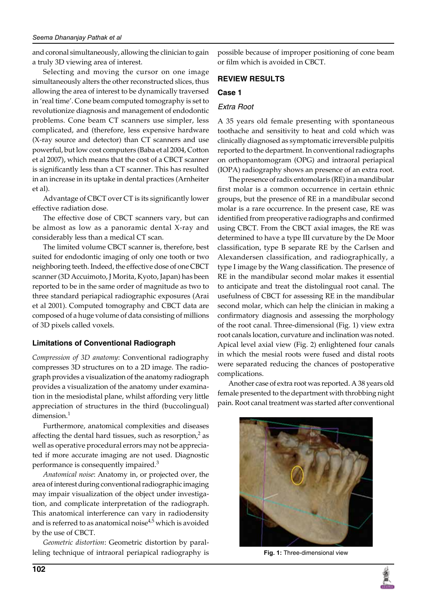and coronal simultaneously, allowing the clinician to gain a truly 3D viewing area of interest.

Selecting and moving the cursor on one image simultaneously alters the other reconstructed slices, thus allowing the area of interest to be dynamically traversed in 'real time'. Cone beam computed tomography is set to revolutionize diagnosis and management of endodontic problems. Cone beam CT scanners use simpler, less complicated, and (therefore, less expensive hardware (X-ray source and detector) than CT scanners and use powerful, but low cost computers (Baba et al 2004, Cotton et al 2007), which means that the cost of a CBCT scanner is significantly less than a CT scanner. This has resulted in an increase in its uptake in dental practices (Arnheiter et al).

Advantage of CBCT over CT is its significantly lower effective radiation dose.

The effective dose of CBCT scanners vary, but can be almost as low as a panoramic dental X-ray and considerably less than a medical CT scan.

The limited volume CBCT scanner is, therefore, best suited for endodontic imaging of only one tooth or two neighboring teeth. Indeed, the effective dose of one CBCT scanner (3D Accuimoto, J Morita, Kyoto, Japan) has been reported to be in the same order of magnitude as two to three standard periapical radiographic exposures (Arai et al 2001). Computed tomography and CBCT data are composed of a huge volume of data consisting of millions of 3D pixels called voxels.

# **Limitations of Conventional Radiograph**

*Compression of 3D anatomy*: Conventional radiography compresses 3D structures on to a 2D image. The radiograph provides a visualization of the anatomy radiograph provides a visualization of the anatomy under examination in the mesiodistal plane, whilst affording very little appreciation of structures in the third (buccolingual) dimension.<sup>1</sup>

Furthermore, anatomical complexities and diseases affecting the dental hard tissues, such as resorption, $2$  as well as operative procedural errors may not be appreciated if more accurate imaging are not used. Diagnostic performance is consequently impaired.<sup>3</sup>

*Anatomical noise*: Anatomy in, or projected over, the area of interest during conventional radiographic imaging may impair visualization of the object under investigation, and complicate interpretation of the radiograph. This anatomical interference can vary in radiodensity and is referred to as anatomical noise<sup>4,5</sup> which is avoided by the use of CBCT.

*Geometric distortion*: Geometric distortion by paralleling technique of intraoral periapical radiography is possible because of improper positioning of cone beam or film which is avoided in CBCT.

# **REVIEW RESULTS**

## **Case 1**

## *Extra Root*

A 35 years old female presenting with spontaneous toothache and sensitivity to heat and cold which was clinically diagnosed as symptomatic irreversible pulpitis reported to the department. In conventional radiographs on orthopantomogram (OPG) and intraoral periapical (IOPA) radiography shows an presence of an extra root.

The presence of radix entomolaris (RE) in a mandibular first molar is a common occurrence in certain ethnic groups, but the presence of RE in a mandibular second molar is a rare occurrence. In the present case, RE was identified from preoperative radiographs and confirmed using CBCT. From the CBCT axial images, the RE was determined to have a type III curvature by the De Moor classification, type B separate RE by the Carlsen and Alexandersen classification, and radiographically, a type I image by the Wang classification. The presence of RE in the mandibular second molar makes it essential to anticipate and treat the distolingual root canal. The usefulness of CBCT for assessing RE in the mandibular second molar, which can help the clinician in making a confirmatory diagnosis and assessing the morphology of the root canal. Three-dimensional (Fig. 1) view extra root canals location, curvature and inclination was noted. Apical level axial view (Fig. 2) enlightened four canals in which the mesial roots were fused and distal roots were separated reducing the chances of postoperative complications.

Another case of extra root was reported. A 38 years old female presented to the department with throbbing night pain. Root canal treatment was started after conventional



**Fig. 1:** Three-dimensional view

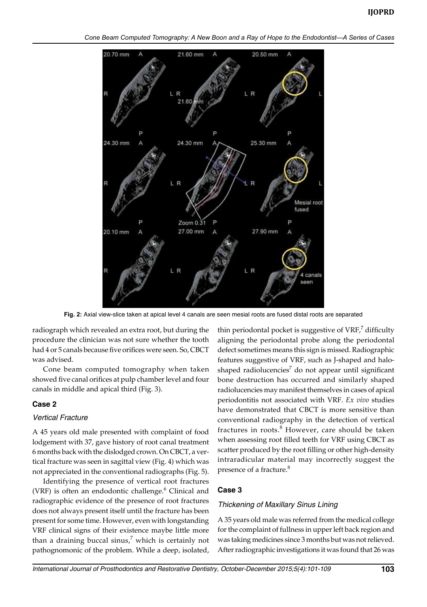

**Fig. 2:** Axial view-slice taken at apical level 4 canals are seen mesial roots are fused distal roots are separated

radiograph which revealed an extra root, but during the procedure the clinician was not sure whether the tooth had 4 or 5 canals because five orifices were seen. So, CBCT was advised.

Cone beam computed tomography when taken showed five canal orifices at pulp chamber level and four canals in middle and apical third (Fig. 3).

#### **Case 2**

#### *Vertical Fracture*

A 45 years old male presented with complaint of food lodgement with 37, gave history of root canal treatment 6 months back with the dislodged crown. On CBCT, a vertical fracture was seen in sagittal view (Fig. 4) which was not appreciated in the conventional radiographs (Fig. 5).

Identifying the presence of vertical root fractures (VRF) is often an endodontic challenge.<sup>6</sup> Clinical and radiographic evidence of the presence of root fractures does not always present itself until the fracture has been present for some time. However, even with longstanding VRF clinical signs of their existence maybe little more than a draining buccal sinus, $7$  which is certainly not pathognomonic of the problem. While a deep, isolated,

thin periodontal pocket is suggestive of  $VRF$ , difficulty aligning the periodontal probe along the periodontal defect sometimes means this sign is missed. Radiographic features suggestive of VRF, such as J-shaped and haloshaped radiolucencies<sup>7</sup> do not appear until significant bone destruction has occurred and similarly shaped radiolucencies may manifest themselves in cases of apical periodontitis not associated with VRF. *Ex vivo* studies have demonstrated that CBCT is more sensitive than conventional radiography in the detection of vertical fractures in roots.<sup>8</sup> However, care should be taken when assessing root filled teeth for VRF using CBCT as scatter produced by the root filling or other high-density intraradicular material may incorrectly suggest the presence of a fracture.<sup>8</sup>

## **Case 3**

#### *Thickening of Maxillary Sinus Lining*

A 35 years old male was referred from the medical college for the complaint of fullness in upper left back region and was taking medicines since 3 months but was not relieved. After radiographic investigations it was found that 26 was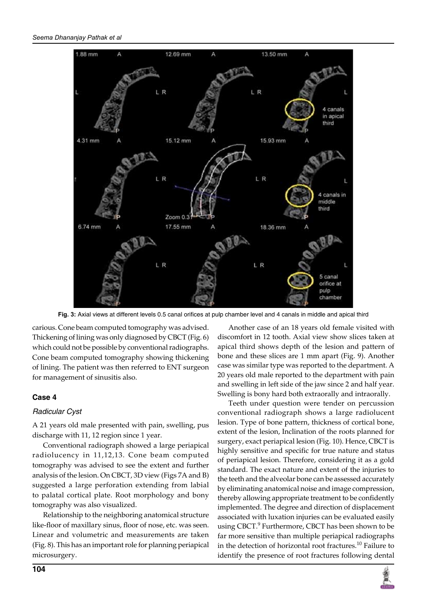

**Fig. 3:** Axial views at different levels 0.5 canal orifices at pulp chamber level and 4 canals in middle and apical third

carious. Cone beam computed tomography was advised. Thickening of lining was only diagnosed by CBCT (Fig. 6) which could not be possible by conventional radiographs. Cone beam computed tomography showing thickening of lining. The patient was then referred to ENT surgeon for management of sinusitis also.

# **Case 4**

## *Radicular Cyst*

A 21 years old male presented with pain, swelling, pus discharge with 11, 12 region since 1 year.

Conventional radiograph showed a large periapical radiolucency in 11,12,13. Cone beam computed tomography was advised to see the extent and further analysis of the lesion. On CBCT, 3D view (Figs 7A and B) suggested a large perforation extending from labial to palatal cortical plate. Root morphology and bony tomography was also visualized.

Relationship to the neighboring anatomical structure like-floor of maxillary sinus, floor of nose, etc. was seen. Linear and volumetric and measurements are taken (Fig. 8). This has an important role for planning periapical microsurgery.

Another case of an 18 years old female visited with discomfort in 12 tooth. Axial view show slices taken at apical third shows depth of the lesion and pattern of bone and these slices are 1 mm apart (Fig. 9). Another case was similar type was reported to the department. A 20 years old male reported to the department with pain and swelling in left side of the jaw since 2 and half year. Swelling is bony hard both extraorally and intraorally.

Teeth under question were tender on percussion conventional radiograph shows a large radiolucent lesion. Type of bone pattern, thickness of cortical bone, extent of the lesion, Inclination of the roots planned for surgery, exact periapical lesion (Fig. 10). Hence, CBCT is highly sensitive and specific for true nature and status of periapical lesion. Therefore, considering it as a gold standard. The exact nature and extent of the injuries to the teeth and the alveolar bone can be assessed accurately by eliminating anatomical noise and image compression, thereby allowing appropriate treatment to be confidently implemented. The degree and direction of displacement associated with luxation injuries can be evaluated easily using CBCT.<sup>9</sup> Furthermore, CBCT has been shown to be far more sensitive than multiple periapical radiographs in the detection of horizontal root fractures.<sup>10</sup> Failure to identify the presence of root fractures following dental

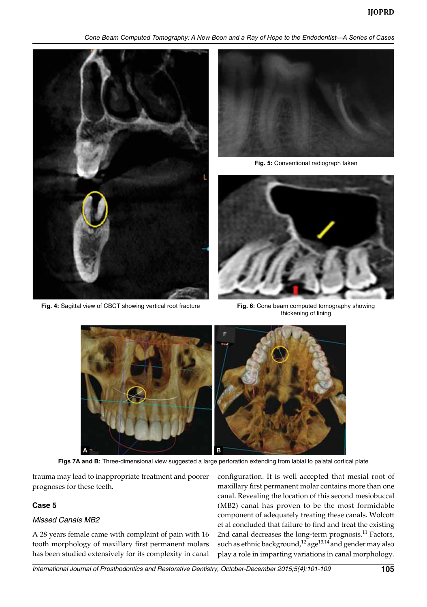*Cone Beam Computed Tomography: A New Boon and a Ray of Hope to the Endodontist—A Series of Cases*





**Fig. 5:** Conventional radiograph taken



**Fig. 4:** Sagittal view of CBCT showing vertical root fracture **Fig. 6:** Cone beam computed tomography showing thickening of lining



**Figs 7A and B:** Three-dimensional view suggested a large perforation extending from labial to palatal cortical plate

trauma may lead to inappropriate treatment and poorer prognoses for these teeth.

#### **Case 5**

#### *Missed Canals MB2*

A 28 years female came with complaint of pain with 16 tooth morphology of maxillary first permanent molars has been studied extensively for its complexity in canal configuration. It is well accepted that mesial root of maxillary first permanent molar contains more than one canal. Revealing the location of this second mesiobuccal (MB2) canal has proven to be the most formidable component of adequately treating these canals. Wolcott et al concluded that failure to find and treat the existing 2nd canal decreases the long-term prognosis.<sup>11</sup> Factors, such as ethnic background,<sup>12</sup> age<sup>13,14</sup> and gender may also play a role in imparting variations in canal morphology.

*International Journal of Prosthodontics and Restorative Dentistry, October-December 2015;5(4):101-109* **105**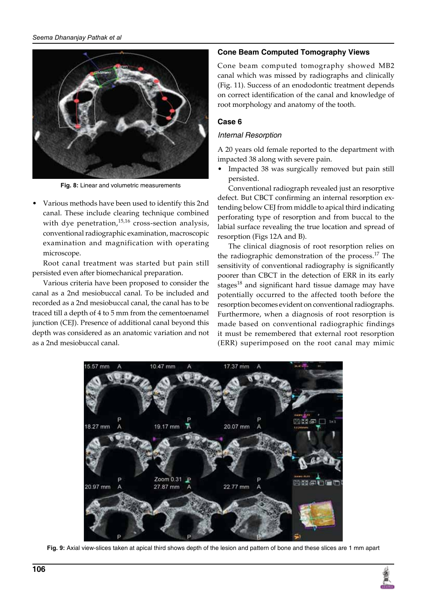

**Fig. 8:** Linear and volumetric measurements

• Various methods have been used to identify this 2nd canal. These include clearing technique combined with dye penetration, $15,16$  cross-section analysis, conventional radiographic examination, macroscopic examination and magnification with operating microscope.

Root canal treatment was started but pain still persisted even after biomechanical preparation.

Various criteria have been proposed to consider the canal as a 2nd mesiobuccal canal. To be included and recorded as a 2nd mesiobuccal canal, the canal has to be traced till a depth of 4 to 5 mm from the cementoenamel junction (CEJ). Presence of additional canal beyond this depth was considered as an anatomic variation and not as a 2nd mesiobuccal canal.

#### **Cone Beam Computed Tomography Views**

Cone beam computed tomography showed MB2 canal which was missed by radiographs and clinically (Fig. 11). Success of an enododontic treatment depends on correct identification of the canal and knowledge of root morphology and anatomy of the tooth.

## **Case 6**

#### *Internal Resorption*

A 20 years old female reported to the department with impacted 38 along with severe pain.

• Impacted 38 was surgically removed but pain still persisted.

Conventional radiograph revealed just an resorptive defect. But CBCT confirming an internal resorption extending below CEJ from middle to apical third indicating perforating type of resorption and from buccal to the labial surface revealing the true location and spread of resorption (Figs 12A and B).

The clinical diagnosis of root resorption relies on the radiographic demonstration of the process.<sup>17</sup> The sensitivity of conventional radiography is significantly poorer than CBCT in the detection of ERR in its early stages<sup>18</sup> and significant hard tissue damage may have potentially occurred to the affected tooth before the resorption becomes evident on conventional radiographs. Furthermore, when a diagnosis of root resorption is made based on conventional radiographic findings it must be remembered that external root resorption (ERR) superimposed on the root canal may mimic



**Fig. 9:** Axial view-slices taken at apical third shows depth of the lesion and pattern of bone and these slices are 1 mm apart

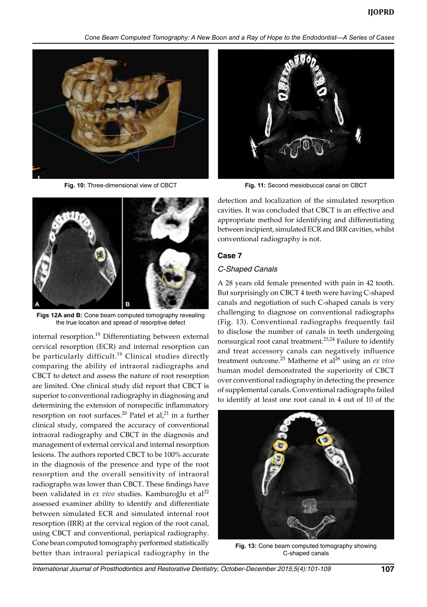



**Figs 12A and B:** Cone beam computed tomography revealing the true location and spread of resorptive defect

internal resorption.<sup>19</sup> Differentiating between external cervical resorption (ECR) and internal resorption can be particularly difficult.<sup>19</sup> Clinical studies directly comparing the ability of intraoral radiographs and CBCT to detect and assess the nature of root resorption are limited. One clinical study did report that CBCT is superior to conventional radiography in diagnosing and determining the extension of nonspecific inflammatory resorption on root surfaces.<sup>20</sup> Patel et al,<sup>21</sup> in a further clinical study, compared the accuracy of conventional intraoral radiography and CBCT in the diagnosis and management of external cervical and internal resorption lesions. The authors reported CBCT to be 100% accurate in the diagnosis of the presence and type of the root resorption and the overall sensitivity of intraoral radiographs was lower than CBCT. These findings have been validated in *ex vivo* studies. Kamburoğlu et al<sup>22</sup> assessed examiner ability to identify and differentiate between simulated ECR and simulated internal root resorption (IRR) at the cervical region of the root canal, using CBCT and conventional, periapical radiography. Cone bean computed tomography performed statistically better than intraoral periapical radiography in the



**Fig. 10:** Three-dimensional view of CBCT **Fig. 11:** Second mesiobuccal canal on CBCT

detection and localization of the simulated resorption cavities. It was concluded that CBCT is an effective and appropriate method for identifying and differentiating between incipient, simulated ECR and IRR cavities, whilst conventional radiography is not.

#### **Case 7**

#### *C-Shaped Canals*

A 28 years old female presented with pain in 42 tooth. But surprisingly on CBCT 4 teeth were having C-shaped canals and negotiation of such C-shaped canals is very challenging to diagnose on conventional radiographs (Fig. 13). Conventional radiographs frequently fail to disclose the number of canals in teeth undergoing nonsurgical root canal treatment.<sup>23,24</sup> Failure to identify and treat accessory canals can negatively influence treatment outcome.25 Matherne et al26 using an *ex vivo* human model demonstrated the superiority of CBCT over conventional radiography in detecting the presence of supplemental canals. Conventional radiographs failed to identify at least one root canal in 4 out of 10 of the



**Fig. 13:** Cone beam computed tomography showing C-shaped canals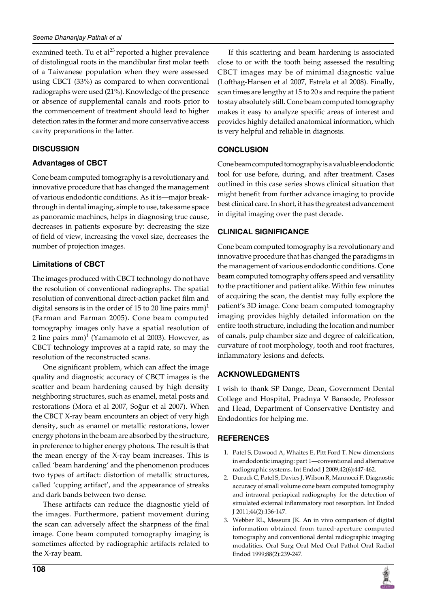examined teeth. Tu et al<sup>23</sup> reported a higher prevalence of distolingual roots in the mandibular first molar teeth of a Taiwanese population when they were assessed using CBCT (33%) as compared to when conventional radiographs were used (21%). Knowledge of the presence or absence of supplemental canals and roots prior to the commencement of treatment should lead to higher detection rates in the former and more conservative access cavity preparations in the latter.

## **DISCUSSION**

## **Advantages of CBCT**

Cone beam computed tomography is a revolutionary and innovative procedure that has changed the management of various endodontic conditions. As it is—major breakthrough in dental imaging, simple to use, take same space as panoramic machines, helps in diagnosing true cause, decreases in patients exposure by: decreasing the size of field of view, increasing the voxel size, decreases the number of projection images.

## **Limitations of CBCT**

The images produced with CBCT technology do not have the resolution of conventional radiographs. The spatial resolution of conventional direct-action packet film and digital sensors is in the order of 15 to 20 line pairs  $mm$ <sup>1</sup> (Farman and Farman 2005). Cone beam computed tomography images only have a spatial resolution of 2 line pairs mm $)^1$  (Yamamoto et al 2003). However, as CBCT technology improves at a rapid rate, so may the resolution of the reconstructed scans.

One significant problem, which can affect the image quality and diagnostic accuracy of CBCT images is the scatter and beam hardening caused by high density neighboring structures, such as enamel, metal posts and restorations (Mora et al 2007, Soğur et al 2007). When the CBCT X-ray beam encounters an object of very high density, such as enamel or metallic restorations, lower energy photons in the beam are absorbed by the structure, in preference to higher energy photons. The result is that the mean energy of the X-ray beam increases. This is called 'beam hardening' and the phenomenon produces two types of artifact: distortion of metallic structures, called 'cupping artifact', and the appearance of streaks and dark bands between two dense.

These artifacts can reduce the diagnostic yield of the images. Furthermore, patient movement during the scan can adversely affect the sharpness of the final image. Cone beam computed tomography imaging is sometimes affected by radiographic artifacts related to the X-ray beam.

If this scattering and beam hardening is associated close to or with the tooth being assessed the resulting CBCT images may be of minimal diagnostic value (Lofthag-Hansen et al 2007, Estrela et al 2008). Finally, scan times are lengthy at 15 to 20 s and require the patient to stay absolutely still. Cone beam computed tomography makes it easy to analyze specific areas of interest and provides highly detailed anatomical information, which is very helpful and reliable in diagnosis.

## **CONCLUSION**

Cone beam computed tomography is a valuable endodontic tool for use before, during, and after treatment. Cases outlined in this case series shows clinical situation that might benefit from further advance imaging to provide best clinical care. In short, it has the greatest advancement in digital imaging over the past decade.

## **CLINICAL SIGNIFICANCE**

Cone beam computed tomography is a revolutionary and innovative procedure that has changed the paradigms in the management of various endodontic conditions. Cone beam computed tomography offers speed and versatility to the practitioner and patient alike. Within few minutes of acquiring the scan, the dentist may fully explore the patient's 3D image. Cone beam computed tomography imaging provides highly detailed information on the entire tooth structure, including the location and number of canals, pulp chamber size and degree of calcification, curvature of root morphology, tooth and root fractures, inflammatory lesions and defects.

# **ACKNOWLEDGMENTs**

I wish to thank SP Dange, Dean, Government Dental College and Hospital, Pradnya V Bansode, Professor and Head, Department of Conservative Dentistry and Endodontics for helping me.

## **REFERENCES**

- 1. Patel S, Dawood A, Whaites E, Pitt Ford T. New dimensions in endodontic imaging: part 1—conventional and alternative radiographic systems. Int Endod J 2009;42(6):447-462.
- 2. Durack C, Patel S, Davies J, Wilson R, Mannocci F. Diagnostic accuracy of small volume cone beam computed tomography and intraoral periapical radiography for the detection of simulated external inflammatory root resorption. Int Endod J 2011;44(2):136-147.
- 3. Webber RL, Messura JK. An in vivo comparison of digital information obtained from tuned-aperture computed tomography and conventional dental radiographic imaging modalities. Oral Surg Oral Med Oral Pathol Oral Radiol Endod 1999;88(2):239-247.